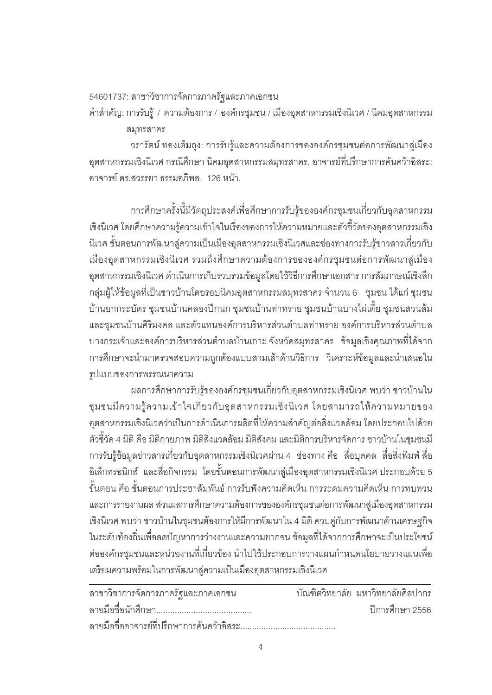## 54601737: สาขาวิชาการจัดการภาครัฐและภาคเอกชน

คำสำคัญ: การรับรู้ / ความต้องการ / องค์กรชุมชน / เมืองอุตสาหกรรมเชิงนิเวศ / นิคมอุตสาหกรรม ¤»¦µ¦

วรารัตน์ ทองเต็มถุง: การรับรู้และความต้องการขององค์กรชุมชนต่อการพัฒนาสู่เมือง ∙อุตสาหกรรมเชิงนิเวศ กรณีศึกษา นิคมอุตสาหกรรมสมุทรสาคร. อาจารย์ที่ปรึกษาการค้นคว้าอิสระ: ู<br>คาจารย์ ดร สวรรยา ธรรมคภิพล 126 หน้า

การศึกษาครั้งนี้มีวัตถุประสงค์เพื่อศึกษาการรับรู้ขององค์กรชุมชนเกี่ยวกับอุตสาหกรรม เชิงนิเวศ โดยศึกษาความรู้ความเข้าใจในเรื่องของการให้ความหมายและตัวชี้วัดของอุตสาหกรรมเชิง ·นิเวศ ขั้นตอนการพัฒนาสู่ความเป็นเมืองอุตสาหกรรมเชิงนิเวศและช่องทางการรับรู้ข่าวสารเกี่ยวกับ เมืองอุตสาหกรรมเชิงนิเวศ รวมถึงศึกษาความต้องการขององค์กรชุมชนต่อการพัฒนาสู่เมือง ือตสาหกรรมเชิงนิเวศ ดำเนินการเก็บรวบรวมข้อมูลโดยใช้วิธีการศึกษาเอกสาร การสัมภาษณ์เชิงลึก ึกลุ่มผู้ให้ข้อมูลที่เป็นชาวบ้านโดยรอบนิคมอุตสาหกรรมสมุทรสาคร จำนวน 6 ชุมชน ได้แก่ ชุมชน บ้านยกกระบัตร ชุมชนบ้านคลองปีกนก ชุมชนบ้านท่าทราย ชุมชนบ้านบางไผ่เตี้ย ชุมชนสวนส้ม และชุมชนบ้านศิริมงคล และตัวแทนองค์การบริหารส่วนตำบลท่าทราย องค์การบริหารส่วนตำบล ิ บางกระเจ้าและองค์การบริหารส่วนตำบลบ้านเกาะ จังหวัดสมุทรสาคร ข้อมูลเชิงคุณภาพที่ได้จาก การศึกษาจะนำมาตรวจสอบความถูกต้องแบบสามเส้าด้านวิธีการ วิเคราะห์ข้อมูลและนำเสนอใน  $\hat{x}$ ปแบบของการพรรณนาความ

นลการศึกษาการรับรู้ขององค์กรชุมชนเกี่ยวกับอุตสาหกรรมเชิงนิเวศ พบว่า ชาวบ้านใน ชุมชนมีความรู้ความเข้าใจเกี่ยวกับอุตสาหกรรมเชิงนิเวศ โดยสามารถให้ความหมายของ ือตสาหกรรมเชิงนิเวศว่าเป็นการดำเนินการผลิตที่ให้ความสำคัญต่อสิ่งแวดล้อม โดยประกอบไปด้วย ้ ตัวชี้วัด 4 มิติ คือ มิติกายภาพ มิติสิ่งแวดล้อม มิติสังคม และมิติการบริหารจัดการ ชาวบ้านในชมชนมี ู<br>การรับรู้ข้อมูลข่าวสารเกี่ยวกับอุตสาหกรรมเชิงนิเวศผ่าน 4 ช่องทาง คือ สื่อบุคคล สื่อสิ่งพิมพ์ สื่อ ือิเล็กทรอนิกส์ และสื่อกิจกรรม โดยขั้นตอนการพัฒนาสู่เมืองอุตสาหกรรมเชิงนิเวศ ประกอบด้วย 5 ์ขั้นตอน คือ ขั้นตอนการประชาสัมพันธ์ การรับฟังความคิดเห็น การระดมความคิดเห็น การทบทวน และการรายงานผล ส่วนผลการศึกษาความต้องการขององค์กรชุมชนต่อการพัฒนาสู่เมืองอุตสาหกรรม เชิงนิเวศ พบว่า ชาวบ้านในชุมชนต้องการให้มีการพัฒนาใน 4 มิติ ควบคู่กับการพัฒนาด้านเศรษฐกิจ ในระดับท้องถิ่นเพื่อลดปัญหาการว่างงานและความยากจน ข้อมูลที่ได้จากการศึกษาจะเป็นประโยชน์ ่ ต่อองค์กรชุมชนและหน่วยงานที่เกี่ยวข้อง นำไปใช้ประกอบการวางแผนกำหนดนโยบายวางแผนเพื่อ เตรียมความพร้อมในการพัฒนาสู่ความเป็นเมืองอุตสาหกรรมเชิงนิเวศ

| สาขาวิชาการจัดการภาครัฐและภาคเอกชน        | ำเัณฑิตวิทยาลัย มหาวิทยาลัยศิลปากร |
|-------------------------------------------|------------------------------------|
|                                           | ปีการศึกษา 2556                    |
| ลายมือชื่ออาจารย์ที่ปรึกษาการค้นคว้าอิสระ |                                    |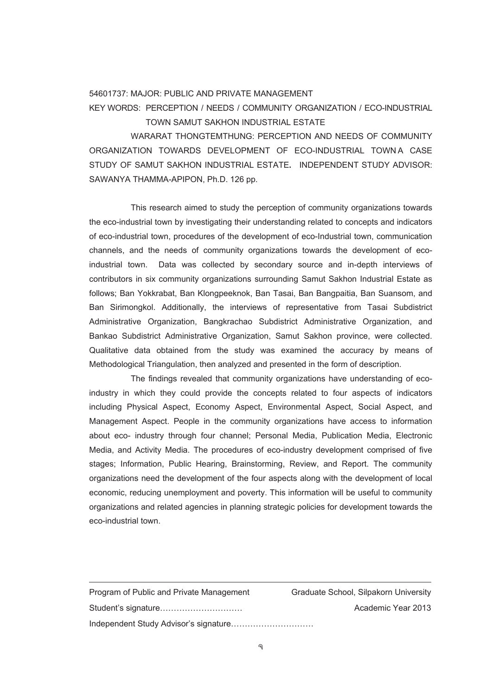## 54601737: MAJOR: PUBLIC AND PRIVATE MANAGEMENT

## KEY WORDS: PERCEPTION / NEEDS / COMMUNITY ORGANIZATION / ECO-INDUSTRIAL TOWN SAMUT SAKHON INDUSTRIAL ESTATE

 WARARAT THONGTEMTHUNG: PERCEPTION AND NEEDS OF COMMUNITY ORGANIZATION TOWARDS DEVELOPMENT OF ECO-INDUSTRIAL TOWN A CASE STUDY OF SAMUT SAKHON INDUSTRIAL ESTATE**.** INDEPENDENT STUDY ADVISOR: SAWANYA THAMMA-APIPON, Ph.D. 126 pp.

 This research aimed to study the perception of community organizations towards the eco-industrial town by investigating their understanding related to concepts and indicators of eco-industrial town, procedures of the development of eco-Industrial town, communication channels, and the needs of community organizations towards the development of ecoindustrial town. Data was collected by secondary source and in-depth interviews of contributors in six community organizations surrounding Samut Sakhon Industrial Estate as follows; Ban Yokkrabat, Ban Klongpeeknok, Ban Tasai, Ban Bangpaitia, Ban Suansom, and Ban Sirimongkol. Additionally, the interviews of representative from Tasai Subdistrict Administrative Organization, Bangkrachao Subdistrict Administrative Organization, and Bankao Subdistrict Administrative Organization, Samut Sakhon province, were collected. Qualitative data obtained from the study was examined the accuracy by means of Methodological Triangulation, then analyzed and presented in the form of description.

 The findings revealed that community organizations have understanding of ecoindustry in which they could provide the concepts related to four aspects of indicators including Physical Aspect, Economy Aspect, Environmental Aspect, Social Aspect, and Management Aspect. People in the community organizations have access to information about eco- industry through four channel; Personal Media, Publication Media, Electronic Media, and Activity Media. The procedures of eco-industry development comprised of five stages; Information, Public Hearing, Brainstorming, Review, and Report. The community organizations need the development of the four aspects along with the development of local economic, reducing unemployment and poverty. This information will be useful to community organizations and related agencies in planning strategic policies for development towards the eco-industrial town.

| Program of Public and Private Management | Graduate School, Silpakorn University |
|------------------------------------------|---------------------------------------|
| Student's signature                      | Academic Year 2013                    |
|                                          |                                       |